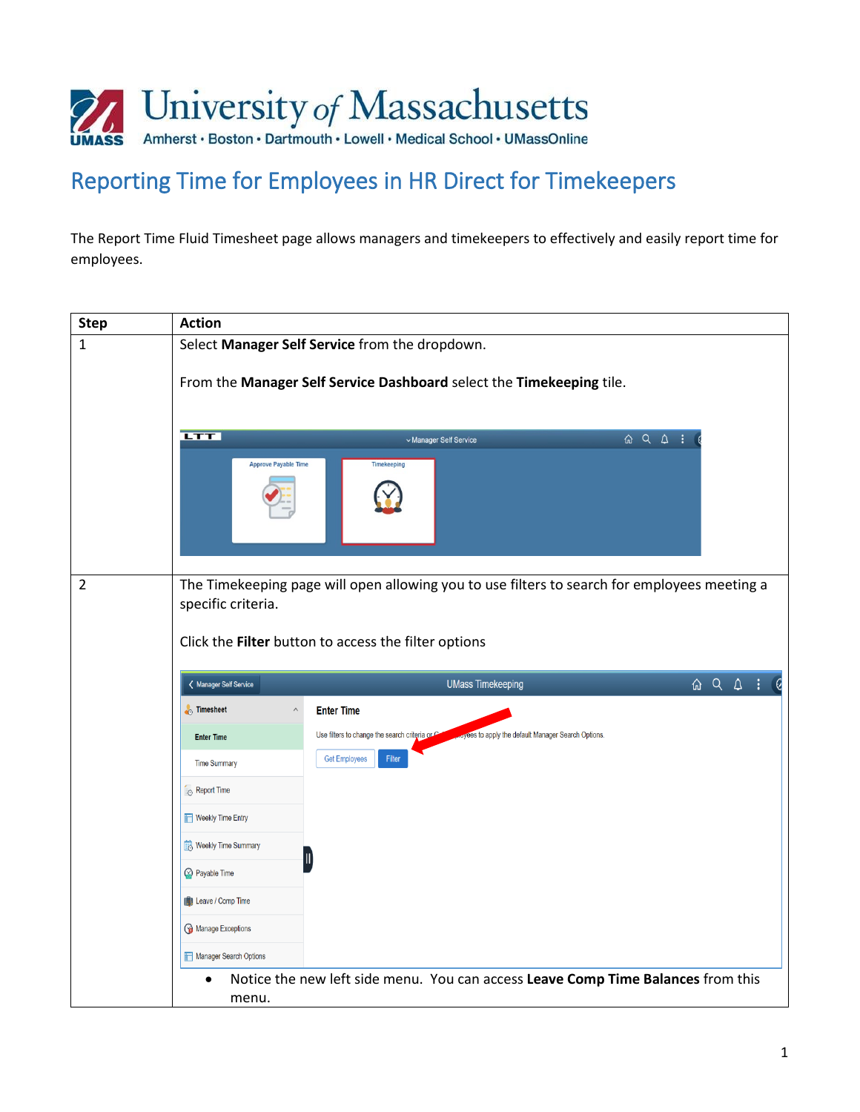

# Reporting Time for Employees in HR Direct for Timekeepers

The Report Time Fluid Timesheet page allows managers and timekeepers to effectively and easily report time for employees.

| <b>Step</b>    | <b>Action</b>                                                        |                                                                                                                                                                                                                                                                                                                                                                                                                           |  |  |  |  |  |
|----------------|----------------------------------------------------------------------|---------------------------------------------------------------------------------------------------------------------------------------------------------------------------------------------------------------------------------------------------------------------------------------------------------------------------------------------------------------------------------------------------------------------------|--|--|--|--|--|
| $\mathbf{1}$   |                                                                      | Select Manager Self Service from the dropdown.                                                                                                                                                                                                                                                                                                                                                                            |  |  |  |  |  |
|                | From the Manager Self Service Dashboard select the Timekeeping tile. |                                                                                                                                                                                                                                                                                                                                                                                                                           |  |  |  |  |  |
|                | <b>LTT</b>                                                           |                                                                                                                                                                                                                                                                                                                                                                                                                           |  |  |  |  |  |
|                |                                                                      | $\begin{picture}(16,10) \put(0,0){\circle*{1}} \put(10,0){\circle*{1}} \put(20,0){\circle*{1}} \put(20,0){\circle*{1}} \put(20,0){\circle*{1}} \put(20,0){\circle*{1}} \put(20,0){\circle*{1}} \put(20,0){\circle*{1}} \put(20,0){\circle*{1}} \put(20,0){\circle*{1}} \put(20,0){\circle*{1}} \put(20,0){\circle*{1}} \put(20,0){\circle*{1}} \put(20,0){\circle*{1}} \put(20,0){\circle*{1}}$<br>v Manager Self Service |  |  |  |  |  |
|                | <b>Approve Payable Time</b>                                          | <b>Timekeeping</b>                                                                                                                                                                                                                                                                                                                                                                                                        |  |  |  |  |  |
| $\overline{2}$ |                                                                      | The Timekeeping page will open allowing you to use filters to search for employees meeting a                                                                                                                                                                                                                                                                                                                              |  |  |  |  |  |
|                | specific criteria.                                                   |                                                                                                                                                                                                                                                                                                                                                                                                                           |  |  |  |  |  |
|                |                                                                      |                                                                                                                                                                                                                                                                                                                                                                                                                           |  |  |  |  |  |
|                |                                                                      | Click the Filter button to access the filter options                                                                                                                                                                                                                                                                                                                                                                      |  |  |  |  |  |
|                | K Manager Self Service                                               | $\begin{array}{ccc} \text{ $\hat{\omega}$} & \text{ $\hat{\omega}$} & \text{ $\hat{\omega}$} & \text{ $\vdots$} \end{array}$<br><b>UMass Timekeeping</b>                                                                                                                                                                                                                                                                  |  |  |  |  |  |
|                | <b>Timesheet</b><br>$\wedge$                                         | <b>Enter Time</b>                                                                                                                                                                                                                                                                                                                                                                                                         |  |  |  |  |  |
|                |                                                                      | Use filters to change the search criteria or C<br>oyees to apply the default Manager Search Options.                                                                                                                                                                                                                                                                                                                      |  |  |  |  |  |
|                | <b>Enter Time</b>                                                    | <b>Get Employees</b><br>Filter                                                                                                                                                                                                                                                                                                                                                                                            |  |  |  |  |  |
|                | <b>Time Summary</b>                                                  |                                                                                                                                                                                                                                                                                                                                                                                                                           |  |  |  |  |  |
|                | Report Time                                                          |                                                                                                                                                                                                                                                                                                                                                                                                                           |  |  |  |  |  |
|                | <b>Weekly Time Entry</b>                                             |                                                                                                                                                                                                                                                                                                                                                                                                                           |  |  |  |  |  |
|                | Weekly Time Summary                                                  | Ш                                                                                                                                                                                                                                                                                                                                                                                                                         |  |  |  |  |  |
|                | <b>Payable Time</b>                                                  |                                                                                                                                                                                                                                                                                                                                                                                                                           |  |  |  |  |  |
|                | <b>ID</b> Leave / Comp Time                                          |                                                                                                                                                                                                                                                                                                                                                                                                                           |  |  |  |  |  |
|                | Manage Exceptions                                                    |                                                                                                                                                                                                                                                                                                                                                                                                                           |  |  |  |  |  |
|                | Manager Search Options                                               |                                                                                                                                                                                                                                                                                                                                                                                                                           |  |  |  |  |  |
|                | menu.                                                                | Notice the new left side menu. You can access Leave Comp Time Balances from this                                                                                                                                                                                                                                                                                                                                          |  |  |  |  |  |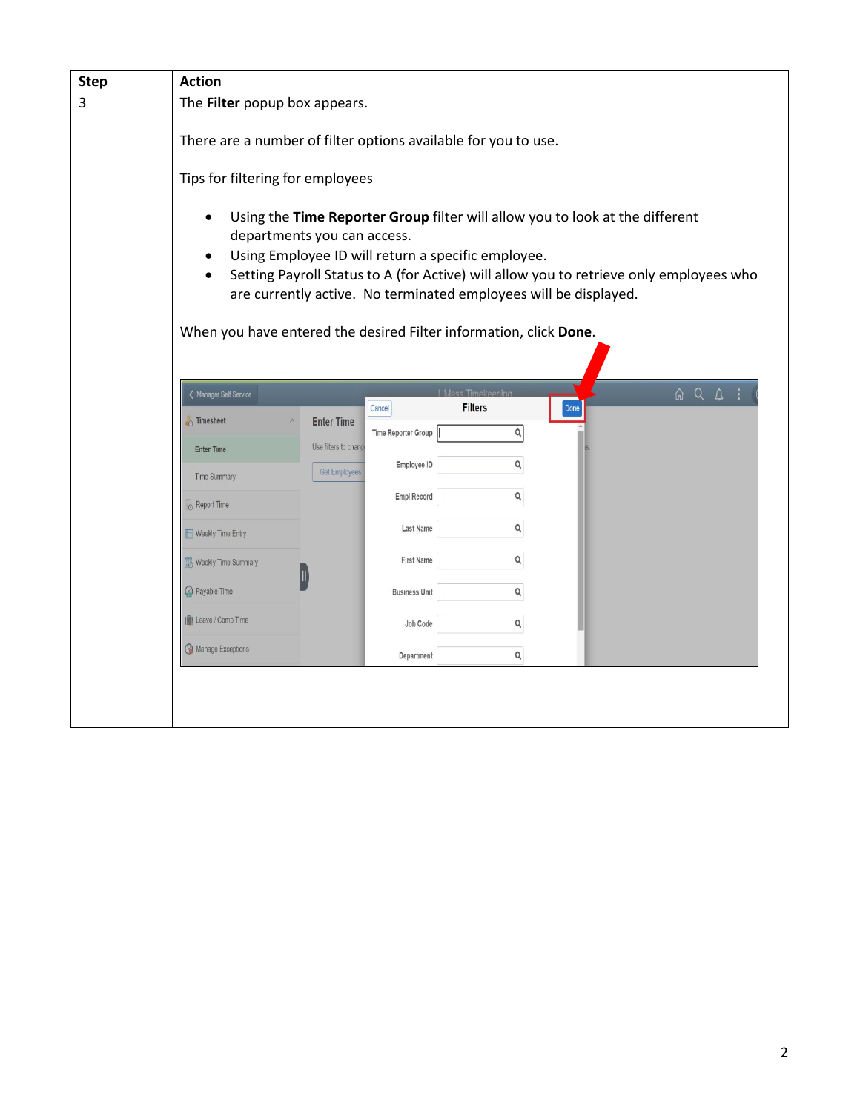| <b>Step</b> | <b>Action</b>                                                     |                       |                      |                                                                                                                                    |      |                                                                                                                              |
|-------------|-------------------------------------------------------------------|-----------------------|----------------------|------------------------------------------------------------------------------------------------------------------------------------|------|------------------------------------------------------------------------------------------------------------------------------|
| 3           | The Filter popup box appears.                                     |                       |                      |                                                                                                                                    |      |                                                                                                                              |
|             | There are a number of filter options available for you to use.    |                       |                      |                                                                                                                                    |      |                                                                                                                              |
|             | Tips for filtering for employees                                  |                       |                      |                                                                                                                                    |      |                                                                                                                              |
|             | departments you can access.                                       |                       |                      | Using the Time Reporter Group filter will allow you to look at the different<br>Using Employee ID will return a specific employee. |      | Setting Payroll Status to A (for Active) will allow you to retrieve only employees who                                       |
|             | When you have entered the desired Filter information, click Done. |                       |                      | are currently active. No terminated employees will be displayed.                                                                   |      |                                                                                                                              |
|             |                                                                   |                       |                      |                                                                                                                                    |      |                                                                                                                              |
|             | < Manager Self Service                                            |                       | Cancel               | <b>UMass Timekeeping</b><br><b>Filters</b>                                                                                         | Done | $\begin{array}{ccc} \text{ $\hat{\omega}$} & \text{ $\hat{\omega}$} & \text{ $\hat{\omega}$} & \text{ $\vdots$} \end{array}$ |
|             | no Timesheet                                                      | <b>Enter Time</b>     |                      | Q                                                                                                                                  |      |                                                                                                                              |
|             | <b>Enter Time</b>                                                 | Use filters to change | Time Reporter Group  |                                                                                                                                    |      |                                                                                                                              |
|             |                                                                   | <b>Get Employees</b>  | Employee ID          | Q                                                                                                                                  |      |                                                                                                                              |
|             | <b>Time Summary</b>                                               |                       |                      | Q                                                                                                                                  |      |                                                                                                                              |
|             | Report Time                                                       |                       | Empl Record          |                                                                                                                                    |      |                                                                                                                              |
|             | Weekly Time Entry                                                 |                       | <b>Last Name</b>     | Q                                                                                                                                  |      |                                                                                                                              |
|             | Weekly Time Summary                                               |                       | <b>First Name</b>    | Q                                                                                                                                  |      |                                                                                                                              |
|             | Payable Time                                                      |                       | <b>Business Unit</b> | Q                                                                                                                                  |      |                                                                                                                              |
|             | <b>ID</b> Leave / Comp Time                                       |                       | Job Code             | Q                                                                                                                                  |      |                                                                                                                              |
|             | Manage Exceptions                                                 |                       | Department           | Q                                                                                                                                  |      |                                                                                                                              |
|             |                                                                   |                       |                      |                                                                                                                                    |      |                                                                                                                              |
|             |                                                                   |                       |                      |                                                                                                                                    |      |                                                                                                                              |
|             |                                                                   |                       |                      |                                                                                                                                    |      |                                                                                                                              |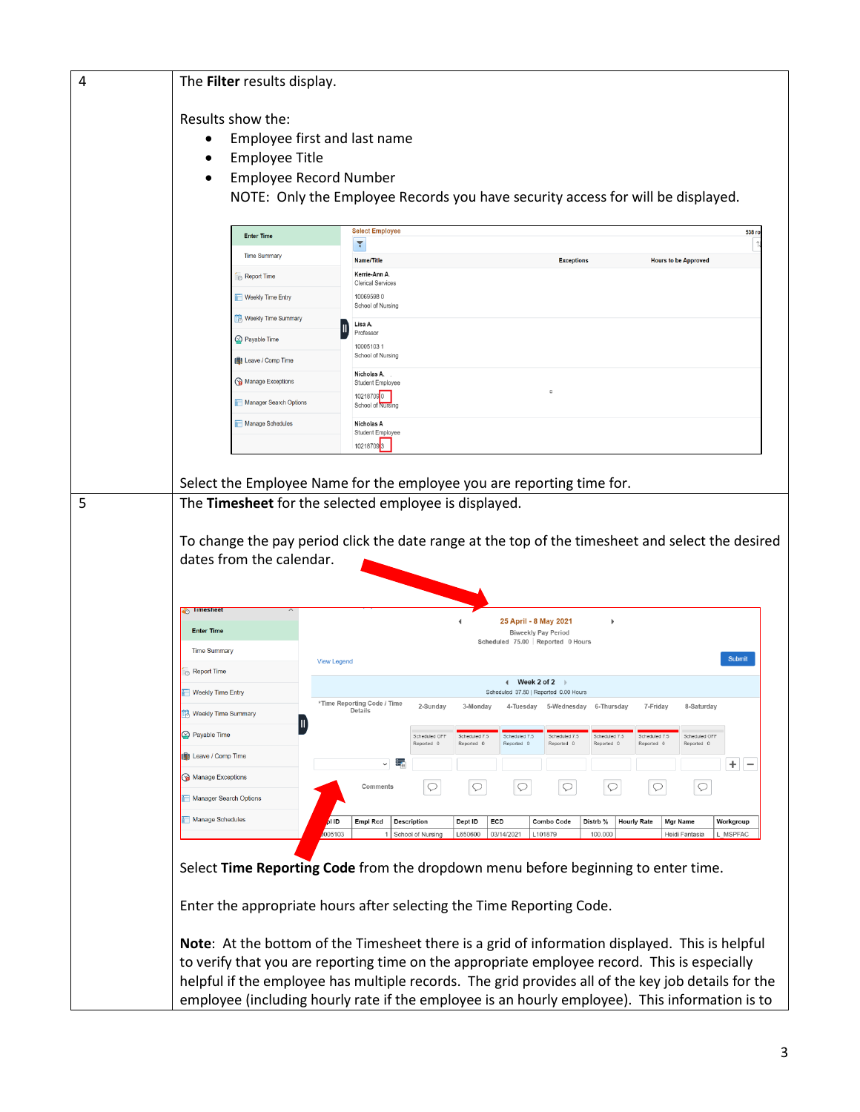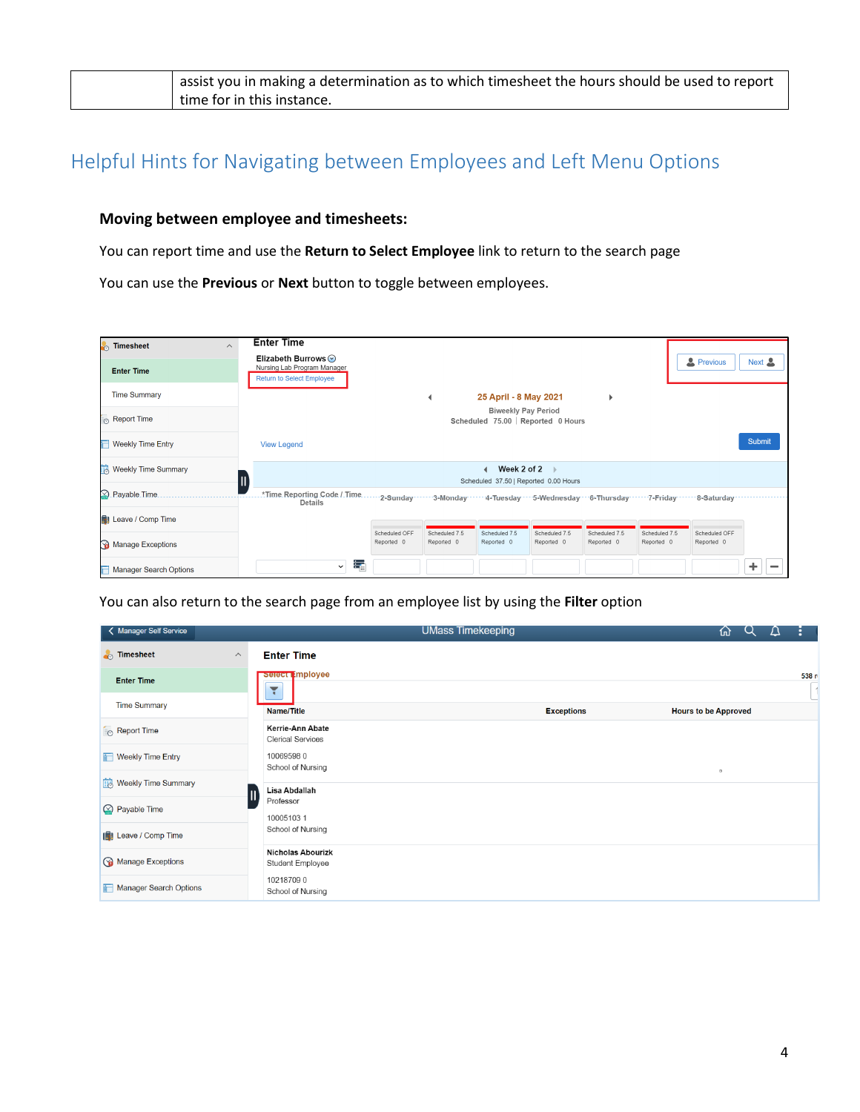| I assist you in making a determination as to which timesheet the hours should be used to report |
|-------------------------------------------------------------------------------------------------|
| time for in this instance.                                                                      |

## Helpful Hints for Navigating between Employees and Left Menu Options

## **Moving between employee and timesheets:**

You can report time and use the **Return to Select Employee** link to return to the search page

You can use the **Previous** or **Next** button to toggle between employees.

| <b>Timesheet</b><br>$\wedge$     | <b>Enter Time</b>                                                                                                         |                             |                             |                             |                                    |                             |                             |                             |               |  |
|----------------------------------|---------------------------------------------------------------------------------------------------------------------------|-----------------------------|-----------------------------|-----------------------------|------------------------------------|-----------------------------|-----------------------------|-----------------------------|---------------|--|
| <b>Enter Time</b>                | Elizabeth Burrows ⊙<br>Nursing Lab Program Manager<br><b>Return to Select Employee</b>                                    |                             |                             |                             |                                    |                             |                             | <b>2</b> Previous           | Next <u>2</u> |  |
| <b>Time Summary</b>              |                                                                                                                           |                             |                             | 25 April - 8 May 2021       |                                    | Þ                           |                             |                             |               |  |
| $\mathsf{I}_{\odot}$ Report Time |                                                                                                                           |                             |                             | <b>Biweekly Pay Period</b>  | Scheduled 75.00   Reported 0 Hours |                             |                             |                             |               |  |
| <b>Weekly Time Entry</b>         | <b>View Legend</b>                                                                                                        |                             |                             |                             |                                    |                             |                             |                             | <b>Submit</b> |  |
| <b>R</b> Weekly Time Summary     | Week 2 of 2<br>II<br>Scheduled 37.50   Reported 0.00 Hours                                                                |                             |                             |                             |                                    |                             |                             |                             |               |  |
| 2 Payable Time.                  | .*Time.Reporting.Code /.Time2-Sunday…… 3-Monday…… 4-Tuesday … 5-Wednesday … 6-Thursday…… 7-Friday…… 8-Saturday<br>Details |                             |                             |                             |                                    |                             |                             |                             |               |  |
| Leave / Comp Time                |                                                                                                                           |                             |                             |                             |                                    |                             |                             |                             |               |  |
| Manage Exceptions                |                                                                                                                           | Scheduled OFF<br>Reported 0 | Scheduled 7.5<br>Reported 0 | Scheduled 7.5<br>Reported 0 | Scheduled 7.5<br>Reported 0        | Scheduled 7.5<br>Reported 0 | Scheduled 7.5<br>Reported 0 | Scheduled OFF<br>Reported 0 |               |  |
| <b>Manager Search Options</b>    | 聶<br>$\checkmark$                                                                                                         |                             |                             |                             |                                    |                             |                             |                             | ÷             |  |

You can also return to the search page from an employee list by using the **Filter** option

| < Manager Self Service                      |                                              | <b>UMass Timekeeping</b> | 砎                           |       |
|---------------------------------------------|----------------------------------------------|--------------------------|-----------------------------|-------|
| <b>Timesheet</b><br>$\widehat{\phantom{a}}$ | <b>Enter Time</b>                            |                          |                             |       |
| <b>Enter Time</b>                           | select <b>Imployee</b><br>٢                  |                          |                             | 538 r |
| <b>Time Summary</b>                         | <b>Name/Title</b>                            | <b>Exceptions</b>        | <b>Hours to be Approved</b> |       |
| Report Time                                 | Kerrie-Ann Abate<br><b>Clerical Services</b> |                          |                             |       |
| Weekly Time Entry                           | 100695980<br>School of Nursing               |                          | $\Box$                      |       |
| <b>Weekly Time Summary</b>                  | Lisa Abdallah                                |                          |                             |       |
| $\oslash$ Payable Time                      | Professor<br>100051031                       |                          |                             |       |
| <b>IS!</b> Leave / Comp Time                | School of Nursing                            |                          |                             |       |
| Manage Exceptions                           | <b>Nicholas Abourizk</b><br>Student Employee |                          |                             |       |
| Manager Search Options                      | 102187090<br>School of Nursing               |                          |                             |       |